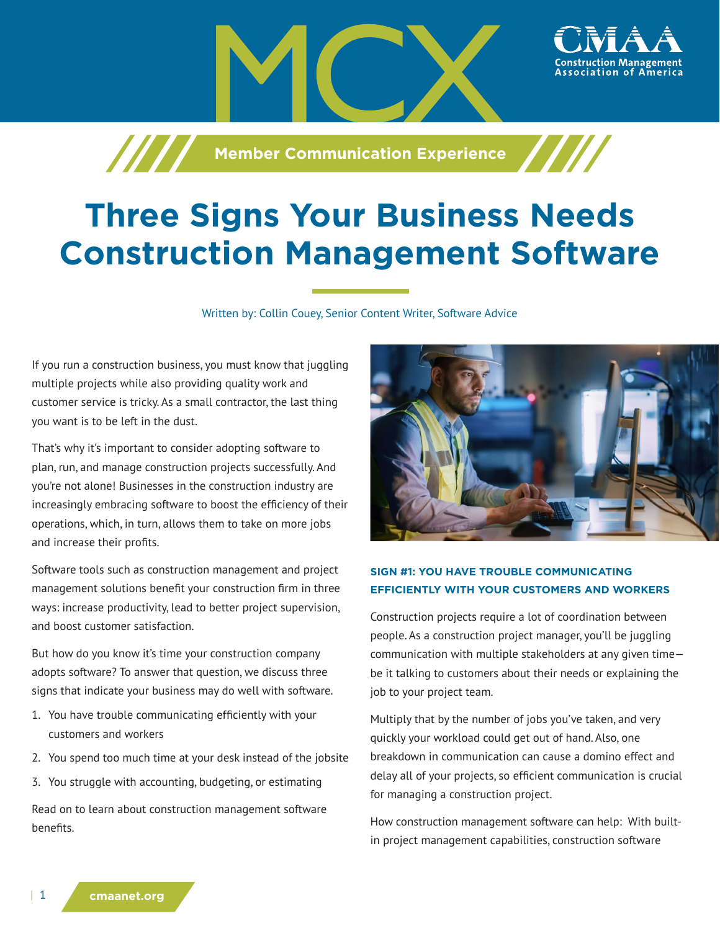**Member Communication Experience** 

# **Three Signs Your Business Needs Construction Management Software**

Written by: Collin Couey, Senior Content Writer, Software Advice

If you run a construction business, you must know that juggling multiple projects while also providing quality work and customer service is tricky. As a small contractor, the last thing you want is to be left in the dust.

That's why it's important to consider adopting software to plan, run, and manage construction projects successfully. And you're not alone! Businesses in the construction industry are increasingly embracing software to boost the efficiency of their operations, which, in turn, allows them to take on more jobs and increase their profits.

Software tools such as construction management and project management solutions benefit your construction firm in three ways: increase productivity, lead to better project supervision, and boost customer satisfaction.

But how do you know it's time your construction company adopts software? To answer that question, we discuss three signs that indicate your business may do well with software.

- 1. You have trouble communicating efficiently with your customers and workers
- 2. You spend too much time at your desk instead of the jobsite
- 3. You struggle with accounting, budgeting, or estimating

Read on to learn about construction management software benefits.



ssociation of America،

## **SIGN #1: YOU HAVE TROUBLE COMMUNICATING EFFICIENTLY WITH YOUR CUSTOMERS AND WORKERS**

Construction projects require a lot of coordination between people. As a construction project manager, you'll be juggling communication with multiple stakeholders at any given time be it talking to customers about their needs or explaining the job to your project team.

Multiply that by the number of jobs you've taken, and very quickly your workload could get out of hand. Also, one breakdown in communication can cause a domino effect and delay all of your projects, so efficient communication is crucial for managing a construction project.

How construction management software can help: With builtin project management capabilities, construction software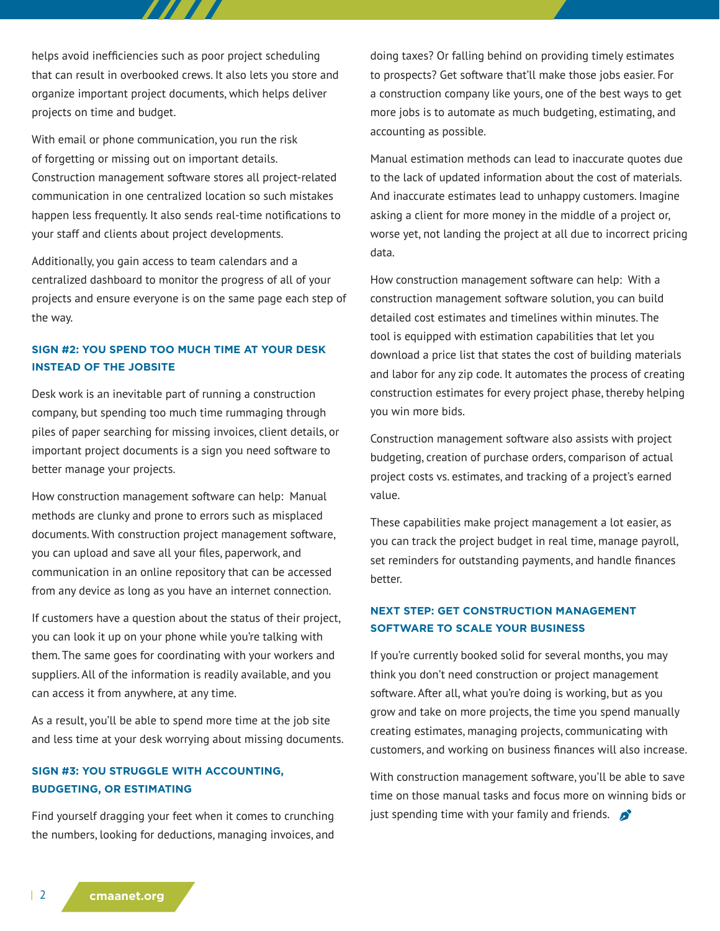helps avoid inefficiencies such as poor project scheduling that can result in overbooked crews. It also lets you store and organize important project documents, which helps deliver projects on time and budget.

With email or phone communication, you run the risk of forgetting or missing out on important details. Construction management software stores all project-related communication in one centralized location so such mistakes happen less frequently. It also sends real-time notifications to your staff and clients about project developments.

Additionally, you gain access to team calendars and a centralized dashboard to monitor the progress of all of your projects and ensure everyone is on the same page each step of the way.

### **SIGN #2: YOU SPEND TOO MUCH TIME AT YOUR DESK INSTEAD OF THE JOBSITE**

Desk work is an inevitable part of running a construction company, but spending too much time rummaging through piles of paper searching for missing invoices, client details, or important project documents is a sign you need software to better manage your projects.

How construction management software can help: Manual methods are clunky and prone to errors such as misplaced documents. With construction project management software, you can upload and save all your files, paperwork, and communication in an online repository that can be accessed from any device as long as you have an internet connection.

If customers have a question about the status of their project, you can look it up on your phone while you're talking with them. The same goes for coordinating with your workers and suppliers. All of the information is readily available, and you can access it from anywhere, at any time.

As a result, you'll be able to spend more time at the job site and less time at your desk worrying about missing documents.

## **SIGN #3: YOU STRUGGLE WITH ACCOUNTING, BUDGETING, OR ESTIMATING**

Find yourself dragging your feet when it comes to crunching the numbers, looking for deductions, managing invoices, and doing taxes? Or falling behind on providing timely estimates to prospects? Get software that'll make those jobs easier. For a construction company like yours, one of the best ways to get more jobs is to automate as much budgeting, estimating, and accounting as possible.

Manual estimation methods can lead to inaccurate quotes due to the lack of updated information about the cost of materials. And inaccurate estimates lead to unhappy customers. Imagine asking a client for more money in the middle of a project or, worse yet, not landing the project at all due to incorrect pricing data.

How construction management software can help: With a construction management software solution, you can build detailed cost estimates and timelines within minutes. The tool is equipped with estimation capabilities that let you download a price list that states the cost of building materials and labor for any zip code. It automates the process of creating construction estimates for every project phase, thereby helping you win more bids.

Construction management software also assists with project budgeting, creation of purchase orders, comparison of actual project costs vs. estimates, and tracking of a project's earned value.

These capabilities make project management a lot easier, as you can track the project budget in real time, manage payroll, set reminders for outstanding payments, and handle finances better.

## **NEXT STEP: GET CONSTRUCTION MANAGEMENT SOFTWARE TO SCALE YOUR BUSINESS**

If you're currently booked solid for several months, you may think you don't need construction or project management software. After all, what you're doing is working, but as you grow and take on more projects, the time you spend manually creating estimates, managing projects, communicating with customers, and working on business finances will also increase.

With construction management software, you'll be able to save time on those manual tasks and focus more on winning bids or just spending time with your family and friends.  $\bullet$